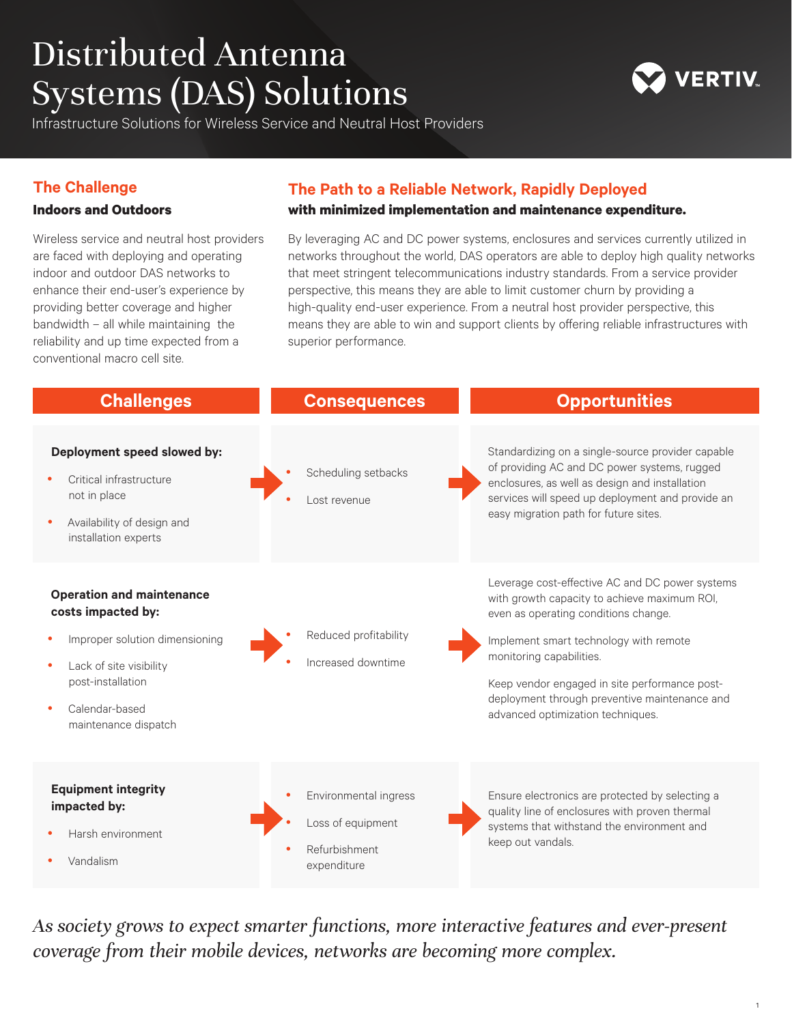# Distributed Antenna Systems (DAS) Solutions

ERTIV

Infrastructure Solutions for Wireless Service and Neutral Host Providers

### **The Challenge**

#### **Indoors and Outdoors**

Wireless service and neutral host providers are faced with deploying and operating indoor and outdoor DAS networks to enhance their end-user's experience by providing better coverage and higher bandwidth – all while maintaining the reliability and up time expected from a conventional macro cell site.

### **The Path to a Reliable Network, Rapidly Deployed**

#### **with minimized implementation and maintenance expenditure.**

By leveraging AC and DC power systems, enclosures and services currently utilized in networks throughout the world, DAS operators are able to deploy high quality networks that meet stringent telecommunications industry standards. From a service provider perspective, this means they are able to limit customer churn by providing a high-quality end-user experience. From a neutral host provider perspective, this means they are able to win and support clients by offering reliable infrastructures with superior performance.



*As society grows to expect smarter functions, more interactive features and ever-present coverage from their mobile devices, networks are becoming more complex.*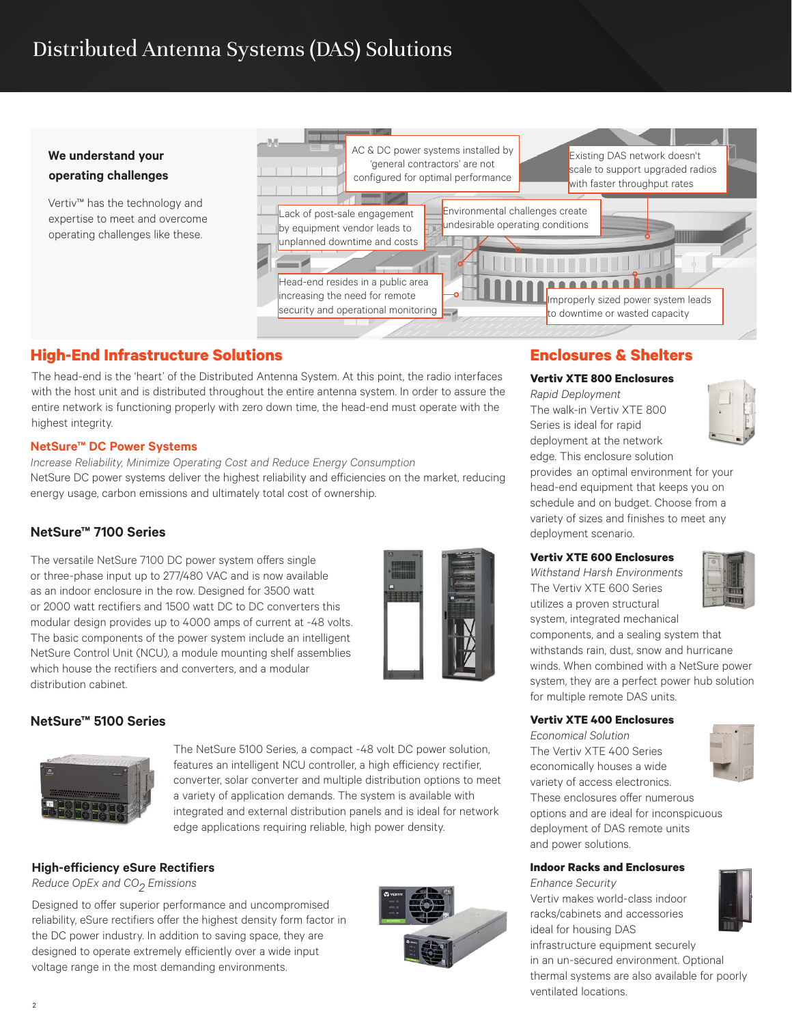## Distributed Antenna Systems (DAS) Solutions

#### **We understand your operating challenges**

Vertiv™ has the technology and expertise to meet and overcome operating challenges like these.



### **High-End Infrastructure Solutions**

The head-end is the 'heart' of the Distributed Antenna System. At this point, the radio interfaces with the host unit and is distributed throughout the entire antenna system. In order to assure the entire network is functioning properly with zero down time, the head-end must operate with the highest integrity.

#### **NetSure™ DC Power Systems**

*Increase Reliability, Minimize Operating Cost and Reduce Energy Consumption* NetSure DC power systems deliver the highest reliability and efficiencies on the market, reducing energy usage, carbon emissions and ultimately total cost of ownership.

#### **NetSure™ 7100 Series**

The versatile NetSure 7100 DC power system offers single or three-phase input up to 277/480 VAC and is now available as an indoor enclosure in the row. Designed for 3500 watt or 2000 watt rectifiers and 1500 watt DC to DC converters this modular design provides up to 4000 amps of current at -48 volts. The basic components of the power system include an intelligent NetSure Control Unit (NCU), a module mounting shelf assemblies which house the rectifiers and converters, and a modular distribution cabinet.



#### **NetSure™ 5100 Series**



The NetSure 5100 Series, a compact -48 volt DC power solution, features an intelligent NCU controller, a high efficiency rectifier, converter, solar converter and multiple distribution options to meet a variety of application demands. The system is available with integrated and external distribution panels and is ideal for network edge applications requiring reliable, high power density.

#### **High-efficiency eSure Rectifiers**

*Reduce OpEx and CO2 Emissions*

Designed to offer superior performance and uncompromised reliability, eSure rectifiers offer the highest density form factor in the DC power industry. In addition to saving space, they are designed to operate extremely efficiently over a wide input voltage range in the most demanding environments.



### **Enclosures & Shelters**

#### **Vertiv XTE 800 Enclosures**

*Rapid Deployment* The walk-in Vertiv XTE 800 Series is ideal for rapid deployment at the network edge. This enclosure solution



provides an optimal environment for your head-end equipment that keeps you on schedule and on budget. Choose from a variety of sizes and finishes to meet any deployment scenario.

#### **Vertiv XTE 600 Enclosures**

*Withstand Harsh Environments* The Vertiv XTE 600 Series utilizes a proven structural system, integrated mechanical



components, and a sealing system that withstands rain, dust, snow and hurricane winds. When combined with a NetSure power system, they are a perfect power hub solution for multiple remote DAS units.

#### **Vertiv XTE 400 Enclosures**

*Economical Solution* The Vertiv XTE 400 Series economically houses a wide variety of access electronics. These enclosures offer numerous options and are ideal for inconspicuous deployment of DAS remote units and power solutions.

#### **Indoor Racks and Enclosures**

*Enhance Security* Vertiv makes world-class indoor racks/cabinets and accessories ideal for housing DAS infrastructure equipment securely



in an un-secured environment. Optional thermal systems are also available for poorly ventilated locations.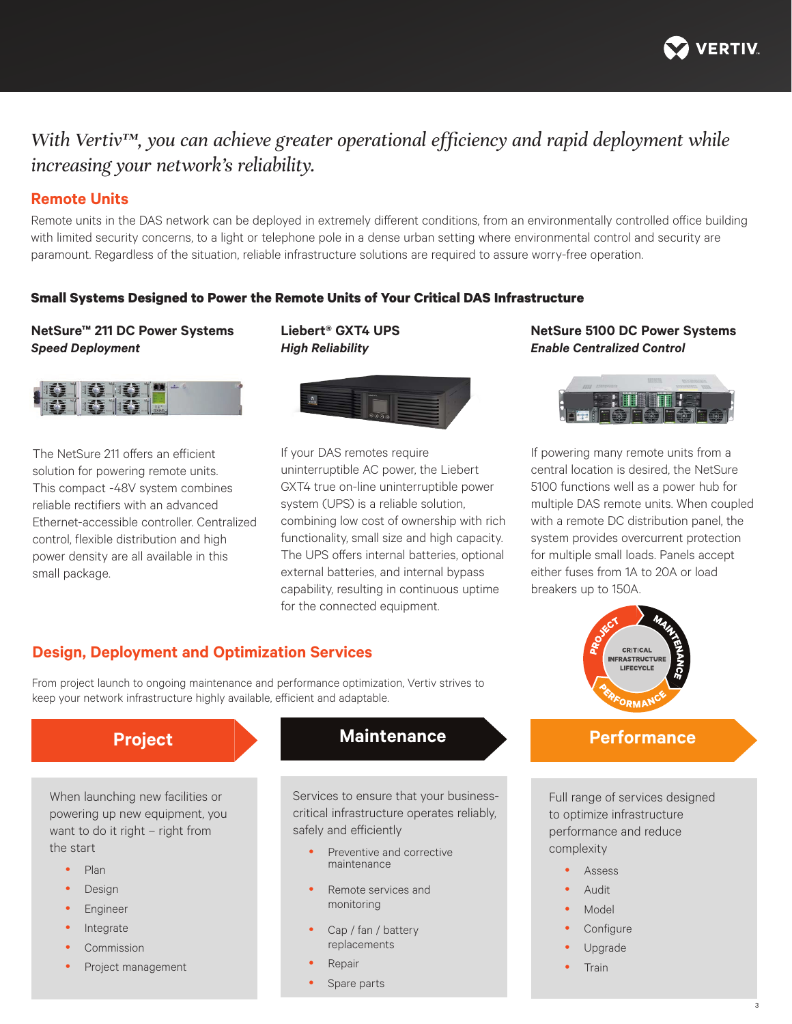

## *With Vertiv™, you can achieve greater operational efficiency and rapid deployment while increasing your network's reliability.*

#### **Remote Units**

Remote units in the DAS network can be deployed in extremely different conditions, from an environmentally controlled office building with limited security concerns, to a light or telephone pole in a dense urban setting where environmental control and security are paramount. Regardless of the situation, reliable infrastructure solutions are required to assure worry-free operation.

#### **Small Systems Designed to Power the Remote Units of Your Critical DAS Infrastructure**

**Liebert® GXT4 UPS**  *High Reliability* 

#### **NetSure™ 211 DC Power Systems** *Speed Deployment*



The NetSure 211 offers an efficient solution for powering remote units. This compact -48V system combines reliable rectifiers with an advanced Ethernet-accessible controller. Centralized control, flexible distribution and high power density are all available in this small package.



If your DAS remotes require uninterruptible AC power, the Liebert GXT4 true on-line uninterruptible power system (UPS) is a reliable solution, combining low cost of ownership with rich functionality, small size and high capacity. The UPS offers internal batteries, optional external batteries, and internal bypass capability, resulting in continuous uptime for the connected equipment.

#### **NetSure 5100 DC Power Systems** *Enable Centralized Control*



If powering many remote units from a central location is desired, the NetSure 5100 functions well as a power hub for multiple DAS remote units. When coupled with a remote DC distribution panel, the system provides overcurrent protection for multiple small loads. Panels accept either fuses from 1A to 20A or load breakers up to 150A.



Full range of services designed to optimize infrastructure performance and reduce complexity

- Assess
- Audit
- Model
- Configure
- Upgrade
- **Train**

#### **Design, Deployment and Optimization Services**

From project launch to ongoing maintenance and performance optimization, Vertiv strives to keep your network infrastructure highly available, efficient and adaptable.

When launching new facilities or powering up new equipment, you want to do it right – right from the start

- Plan
- Design
- **Engineer**
- Integrate
- Commission
- Project management

### **Project Maintenance Performance**

Services to ensure that your businesscritical infrastructure operates reliably, safely and efficiently

- Preventive and corrective maintenance
- Remote services and monitoring
- Cap / fan / battery replacements
- Repair
- Spare parts